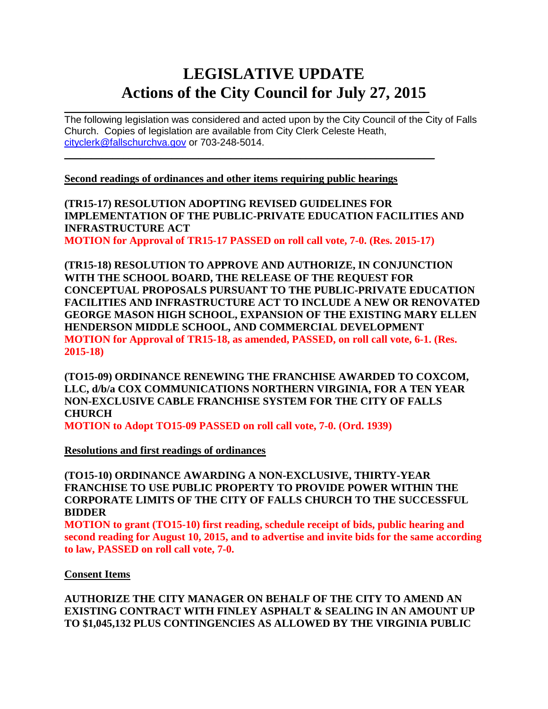# **LEGISLATIVE UPDATE Actions of the City Council for July 27, 2015**

 $\mathcal{L}_\text{max}$  and  $\mathcal{L}_\text{max}$  and  $\mathcal{L}_\text{max}$  and  $\mathcal{L}_\text{max}$  and  $\mathcal{L}_\text{max}$  and  $\mathcal{L}_\text{max}$ The following legislation was considered and acted upon by the City Council of the City of Falls Church. Copies of legislation are available from City Clerk Celeste Heath, [cityclerk@fallschurchva.gov](mailto:cityclerk@fallschurchva.gov) or 703-248-5014.

**Second readings of ordinances and other items requiring public hearings**

**(TR15-17) RESOLUTION ADOPTING REVISED GUIDELINES FOR IMPLEMENTATION OF THE PUBLIC-PRIVATE EDUCATION FACILITIES AND INFRASTRUCTURE ACT** 

**MOTION for Approval of TR15-17 PASSED on roll call vote, 7-0. (Res. 2015-17)**

 $\mathcal{L}_\text{max}$  and  $\mathcal{L}_\text{max}$  and  $\mathcal{L}_\text{max}$  and  $\mathcal{L}_\text{max}$  and  $\mathcal{L}_\text{max}$  and  $\mathcal{L}_\text{max}$ 

**(TR15-18) RESOLUTION TO APPROVE AND AUTHORIZE, IN CONJUNCTION WITH THE SCHOOL BOARD, THE RELEASE OF THE REQUEST FOR CONCEPTUAL PROPOSALS PURSUANT TO THE PUBLIC-PRIVATE EDUCATION FACILITIES AND INFRASTRUCTURE ACT TO INCLUDE A NEW OR RENOVATED GEORGE MASON HIGH SCHOOL, EXPANSION OF THE EXISTING MARY ELLEN HENDERSON MIDDLE SCHOOL, AND COMMERCIAL DEVELOPMENT MOTION for Approval of TR15-18, as amended, PASSED, on roll call vote, 6-1. (Res. 2015-18)**

**(TO15-09) ORDINANCE RENEWING THE FRANCHISE AWARDED TO COXCOM, LLC, d/b/a COX COMMUNICATIONS NORTHERN VIRGINIA, FOR A TEN YEAR NON-EXCLUSIVE CABLE FRANCHISE SYSTEM FOR THE CITY OF FALLS CHURCH** 

**MOTION to Adopt TO15-09 PASSED on roll call vote, 7-0. (Ord. 1939)**

**Resolutions and first readings of ordinances**

**(TO15-10) ORDINANCE AWARDING A NON-EXCLUSIVE, THIRTY-YEAR FRANCHISE TO USE PUBLIC PROPERTY TO PROVIDE POWER WITHIN THE CORPORATE LIMITS OF THE CITY OF FALLS CHURCH TO THE SUCCESSFUL BIDDER**

**MOTION to grant (TO15-10) first reading, schedule receipt of bids, public hearing and second reading for August 10, 2015, and to advertise and invite bids for the same according to law, PASSED on roll call vote, 7-0.**

**Consent Items**

**AUTHORIZE THE CITY MANAGER ON BEHALF OF THE CITY TO AMEND AN EXISTING CONTRACT WITH FINLEY ASPHALT & SEALING IN AN AMOUNT UP TO \$1,045,132 PLUS CONTINGENCIES AS ALLOWED BY THE VIRGINIA PUBLIC**